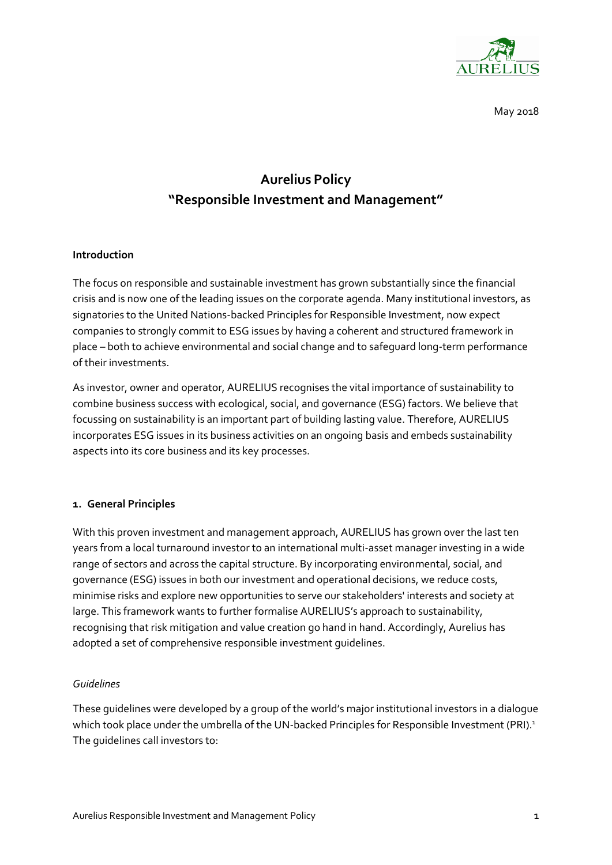

May 2018

# **Aurelius Policy "Responsible Investment and Management"**

## **Introduction**

The focus on responsible and sustainable investment has grown substantially since the financial crisis and is now one of the leading issues on the corporate agenda. Many institutional investors, as signatories to the United Nations-backed Principles for Responsible Investment, now expect companies to strongly commit to ESG issues by having a coherent and structured framework in place – both to achieve environmental and social change and to safeguard long-term performance of their investments.

As investor, owner and operator, AURELIUS recognises the vital importance of sustainability to combine business success with ecological, social, and governance (ESG) factors. We believe that focussing on sustainability is an important part of building lasting value. Therefore, AURELIUS incorporates ESG issues in its business activities on an ongoing basis and embeds sustainability aspects into its core business and its key processes.

## **1. General Principles**

With this proven investment and management approach, AURELIUS has grown over the last ten years from a local turnaround investor to an international multi-asset manager investing in a wide range of sectors and across the capital structure. By incorporating environmental, social, and governance (ESG) issues in both our investment and operational decisions, we reduce costs, minimise risks and explore new opportunities to serve our stakeholders' interests and society at large. This framework wants to further formalise AURELIUS's approach to sustainability, recognising that risk mitigation and value creation go hand in hand. Accordingly, Aurelius has adopted a set of comprehensive responsible investment guidelines.

## *Guidelines*

These guidelines were developed by a group of the world's major institutional investors in a dialogue which took place under the umbrella of the UN-backed Principles for Responsible Investment (PRI).<sup>1</sup> The guidelines call investors to: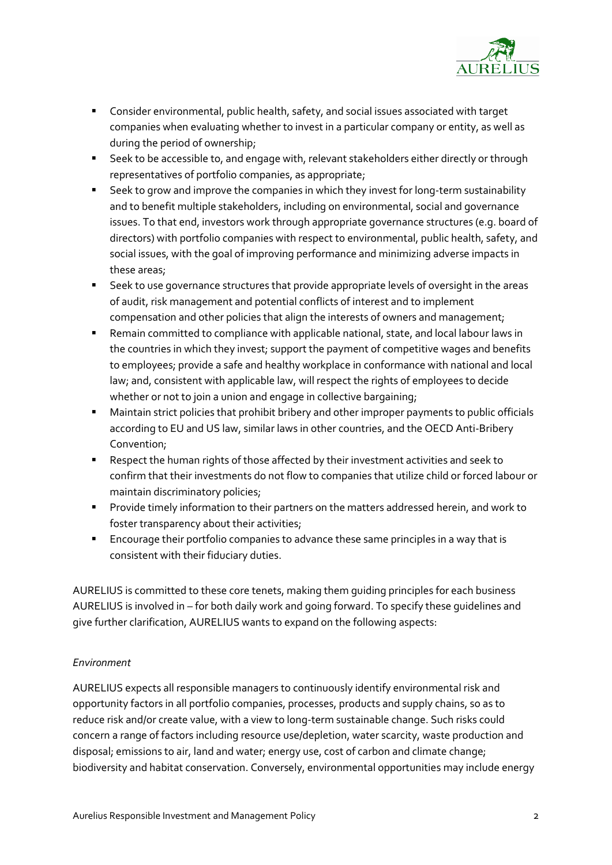

- Consider environmental, public health, safety, and social issues associated with target companies when evaluating whether to invest in a particular company or entity, as well as during the period of ownership;
- Seek to be accessible to, and engage with, relevant stakeholders either directly or through representatives of portfolio companies, as appropriate;
- Seek to grow and improve the companies in which they invest for long-term sustainability and to benefit multiple stakeholders, including on environmental, social and governance issues. To that end, investors work through appropriate governance structures (e.g. board of directors) with portfolio companies with respect to environmental, public health, safety, and social issues, with the goal of improving performance and minimizing adverse impacts in these areas;
- Seek to use governance structures that provide appropriate levels of oversight in the areas of audit, risk management and potential conflicts of interest and to implement compensation and other policies that align the interests of owners and management;
- Remain committed to compliance with applicable national, state, and local labour laws in the countries in which they invest; support the payment of competitive wages and benefits to employees; provide a safe and healthy workplace in conformance with national and local law; and, consistent with applicable law, will respect the rights of employees to decide whether or not to join a union and engage in collective bargaining;
- Maintain strict policies that prohibit bribery and other improper payments to public officials according to EU and US law, similar laws in other countries, and the OECD Anti-Bribery Convention;
- Respect the human rights of those affected by their investment activities and seek to confirm that their investments do not flow to companies that utilize child or forced labour or maintain discriminatory policies;
- Provide timely information to their partners on the matters addressed herein, and work to foster transparency about their activities;
- Encourage their portfolio companies to advance these same principles in a way that is consistent with their fiduciary duties.

AURELIUS is committed to these core tenets, making them guiding principles for each business AURELIUS is involved in – for both daily work and going forward. To specify these guidelines and give further clarification, AURELIUS wants to expand on the following aspects:

## *Environment*

AURELIUS expects all responsible managers to continuously identify environmental risk and opportunity factors in all portfolio companies, processes, products and supply chains, so as to reduce risk and/or create value, with a view to long-term sustainable change. Such risks could concern a range of factors including resource use/depletion, water scarcity, waste production and disposal; emissions to air, land and water; energy use, cost of carbon and climate change; biodiversity and habitat conservation. Conversely, environmental opportunities may include energy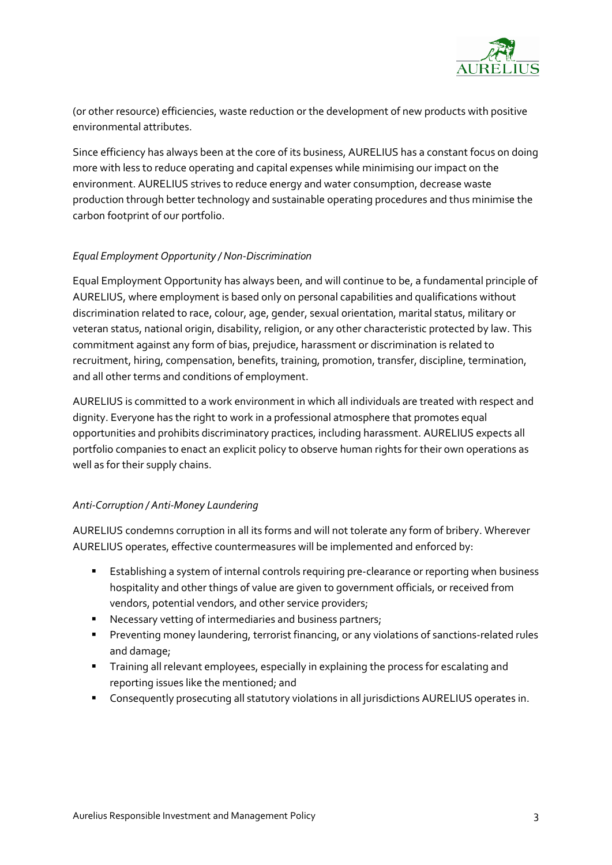

(or other resource) efficiencies, waste reduction or the development of new products with positive environmental attributes.

Since efficiency has always been at the core of its business, AURELIUS has a constant focus on doing more with less to reduce operating and capital expenses while minimising our impact on the environment. AURELIUS strives to reduce energy and water consumption, decrease waste production through better technology and sustainable operating procedures and thus minimise the carbon footprint of our portfolio.

## *Equal Employment Opportunity / Non-Discrimination*

Equal Employment Opportunity has always been, and will continue to be, a fundamental principle of AURELIUS, where employment is based only on personal capabilities and qualifications without discrimination related to race, colour, age, gender, sexual orientation, marital status, military or veteran status, national origin, disability, religion, or any other characteristic protected by law. This commitment against any form of bias, prejudice, harassment or discrimination is related to recruitment, hiring, compensation, benefits, training, promotion, transfer, discipline, termination, and all other terms and conditions of employment.

AURELIUS is committed to a work environment in which all individuals are treated with respect and dignity. Everyone has the right to work in a professional atmosphere that promotes equal opportunities and prohibits discriminatory practices, including harassment. AURELIUS expects all portfolio companies to enact an explicit policy to observe human rights for their own operations as well as for their supply chains.

## *Anti-Corruption / Anti-Money Laundering*

AURELIUS condemns corruption in all its forms and will not tolerate any form of bribery. Wherever AURELIUS operates, effective countermeasures will be implemented and enforced by:

- Establishing a system of internal controls requiring pre-clearance or reporting when business hospitality and other things of value are given to government officials, or received from vendors, potential vendors, and other service providers;
- Necessary vetting of intermediaries and business partners;
- Preventing money laundering, terrorist financing, or any violations of sanctions-related rules and damage;
- **E** Training all relevant employees, especially in explaining the process for escalating and reporting issues like the mentioned; and
- Consequently prosecuting all statutory violations in all jurisdictions AURELIUS operates in.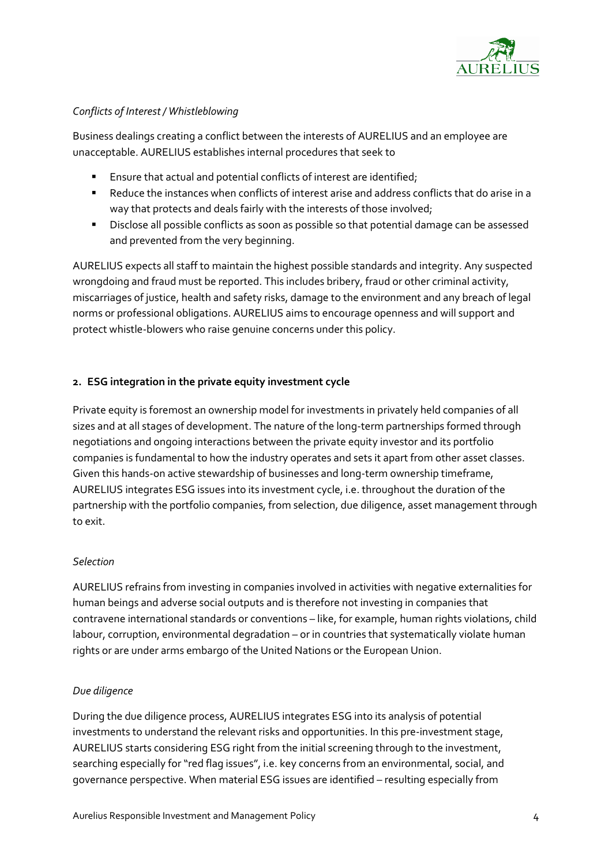

## *Conflicts of Interest / Whistleblowing*

Business dealings creating a conflict between the interests of AURELIUS and an employee are unacceptable. AURELIUS establishes internal procedures that seek to

- Ensure that actual and potential conflicts of interest are identified;
- Reduce the instances when conflicts of interest arise and address conflicts that do arise in a way that protects and deals fairly with the interests of those involved;
- Disclose all possible conflicts as soon as possible so that potential damage can be assessed and prevented from the very beginning.

AURELIUS expects all staff to maintain the highest possible standards and integrity. Any suspected wrongdoing and fraud must be reported. This includes bribery, fraud or other criminal activity, miscarriages of justice, health and safety risks, damage to the environment and any breach of legal norms or professional obligations. AURELIUS aims to encourage openness and will support and protect whistle-blowers who raise genuine concerns under this policy.

## **2. ESG integration in the private equity investment cycle**

Private equity is foremost an ownership model for investments in privately held companies of all sizes and at all stages of development. The nature of the long-term partnerships formed through negotiations and ongoing interactions between the private equity investor and its portfolio companies is fundamental to how the industry operates and sets it apart from other asset classes. Given this hands-on active stewardship of businesses and long-term ownership timeframe, AURELIUS integrates ESG issues into its investment cycle, i.e. throughout the duration of the partnership with the portfolio companies, from selection, due diligence, asset management through to exit.

## *Selection*

AURELIUS refrains from investing in companies involved in activities with negative externalities for human beings and adverse social outputs and is therefore not investing in companies that contravene international standards or conventions – like, for example, human rights violations, child labour, corruption, environmental degradation – or in countries that systematically violate human rights or are under arms embargo of the United Nations or the European Union.

## *Due diligence*

During the due diligence process, AURELIUS integrates ESG into its analysis of potential investments to understand the relevant risks and opportunities. In this pre-investment stage, AURELIUS starts considering ESG right from the initial screening through to the investment, searching especially for "red flag issues", i.e. key concerns from an environmental, social, and governance perspective. When material ESG issues are identified – resulting especially from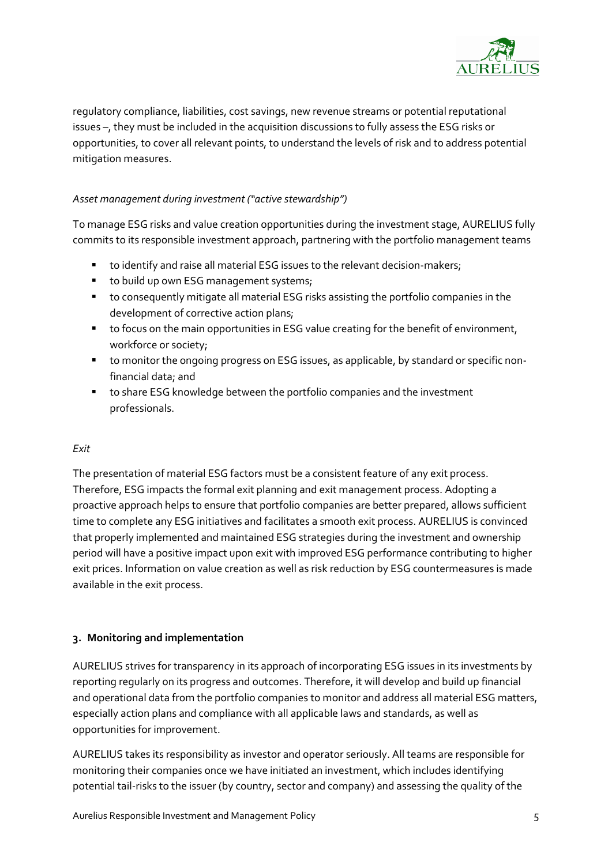

regulatory compliance, liabilities, cost savings, new revenue streams or potential reputational issues –, they must be included in the acquisition discussions to fully assess the ESG risks or opportunities, to cover all relevant points, to understand the levels of risk and to address potential mitigation measures.

## *Asset management during investment ("active stewardship")*

To manage ESG risks and value creation opportunities during the investment stage, AURELIUS fully commits to its responsible investment approach, partnering with the portfolio management teams

- to identify and raise all material ESG issues to the relevant decision-makers;
- to build up own ESG management systems;
- to consequently mitigate all material ESG risks assisting the portfolio companies in the development of corrective action plans;
- to focus on the main opportunities in ESG value creating for the benefit of environment, workforce or society;
- to monitor the ongoing progress on ESG issues, as applicable, by standard or specific nonfinancial data; and
- to share ESG knowledge between the portfolio companies and the investment professionals.

## *Exit*

The presentation of material ESG factors must be a consistent feature of any exit process. Therefore, ESG impacts the formal exit planning and exit management process. Adopting a proactive approach helps to ensure that portfolio companies are better prepared, allows sufficient time to complete any ESG initiatives and facilitates a smooth exit process. AURELIUS is convinced that properly implemented and maintained ESG strategies during the investment and ownership period will have a positive impact upon exit with improved ESG performance contributing to higher exit prices. Information on value creation as well as risk reduction by ESG countermeasures is made available in the exit process.

## **3. Monitoring and implementation**

AURELIUS strives for transparency in its approach of incorporating ESG issues in its investments by reporting regularly on its progress and outcomes. Therefore, it will develop and build up financial and operational data from the portfolio companies to monitor and address all material ESG matters, especially action plans and compliance with all applicable laws and standards, as well as opportunities for improvement.

AURELIUS takes its responsibility as investor and operator seriously. All teams are responsible for monitoring their companies once we have initiated an investment, which includes identifying potential tail-risks to the issuer (by country, sector and company) and assessing the quality of the